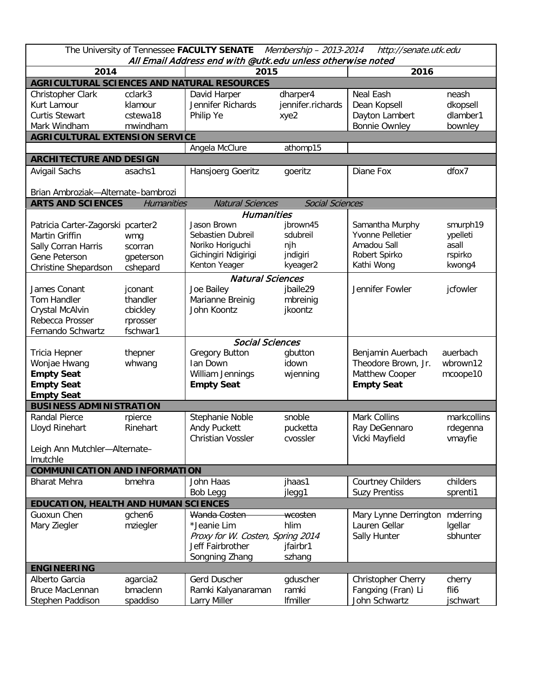| The University of Tennessee FACULTY SENATE<br>Membership - 2013-2014<br>http://senate.utk.edu<br>All Email Address end with @utk.edu unless otherwise noted |                                |                                                |                               |                                        |                               |  |  |  |  |  |  |
|-------------------------------------------------------------------------------------------------------------------------------------------------------------|--------------------------------|------------------------------------------------|-------------------------------|----------------------------------------|-------------------------------|--|--|--|--|--|--|
| 2014                                                                                                                                                        |                                | 2015                                           |                               | 2016                                   |                               |  |  |  |  |  |  |
| AGRICULTURAL SCIENCES AND NATURAL RESOURCES                                                                                                                 |                                |                                                |                               |                                        |                               |  |  |  |  |  |  |
| Christopher Clark<br>Kurt Lamour<br><b>Curtis Stewart</b>                                                                                                   | cclark3<br>klamour<br>cstewa18 | David Harper<br>Jennifer Richards<br>Philip Ye | dharper4<br>jennifer.richards | Neal Eash<br>Dean Kopsell              | neash<br>dkopsell<br>dlamber1 |  |  |  |  |  |  |
| Mark Windham                                                                                                                                                | mwindham                       |                                                | xye2                          | Dayton Lambert<br><b>Bonnie Ownley</b> | bownley                       |  |  |  |  |  |  |
|                                                                                                                                                             |                                |                                                |                               |                                        |                               |  |  |  |  |  |  |
| <b>AGRICULTURAL EXTENSION SERVICE</b><br>Angela McClure<br>athomp15                                                                                         |                                |                                                |                               |                                        |                               |  |  |  |  |  |  |
| <b>ARCHITECTURE AND DESIGN</b>                                                                                                                              |                                |                                                |                               |                                        |                               |  |  |  |  |  |  |
| Avigail Sachs                                                                                                                                               | asachs1                        | Hansjoerg Goeritz                              | goeritz                       | Diane Fox                              | dfox7                         |  |  |  |  |  |  |
|                                                                                                                                                             |                                |                                                |                               |                                        |                               |  |  |  |  |  |  |
| Brian Ambroziak-Alternate-bambrozi                                                                                                                          |                                |                                                |                               |                                        |                               |  |  |  |  |  |  |
| <b>ARTS AND SCIENCES</b>                                                                                                                                    | <b>Humanities</b>              | <b>Natural Sciences</b>                        | <b>Social Sciences</b>        |                                        |                               |  |  |  |  |  |  |
|                                                                                                                                                             |                                | <b>Humanities</b>                              |                               |                                        |                               |  |  |  |  |  |  |
| Patricia Carter-Zagorski pcarter2                                                                                                                           |                                | Jason Brown                                    | jbrown45                      | Samantha Murphy                        | smurph19                      |  |  |  |  |  |  |
| Martin Griffin                                                                                                                                              | wmg                            | Sebastien Dubreil                              | sdubreil                      | Yvonne Pelletier                       | ypelleti                      |  |  |  |  |  |  |
| Sally Corran Harris                                                                                                                                         | scorran                        | Noriko Horiguchi                               | njh                           | Amadou Sall                            | asall                         |  |  |  |  |  |  |
| Gene Peterson                                                                                                                                               | gpeterson                      | Gichingiri Ndigirigi<br>Kenton Yeager          | jndigiri                      | Robert Spirko<br>Kathi Wong            | rspirko                       |  |  |  |  |  |  |
| Christine Shepardson                                                                                                                                        | cshepard                       |                                                | kyeager2                      |                                        | kwong4                        |  |  |  |  |  |  |
|                                                                                                                                                             | <b>Natural Sciences</b>        |                                                |                               |                                        |                               |  |  |  |  |  |  |
| James Conant                                                                                                                                                | jconant                        | Joe Bailey                                     | jbaile29                      | Jennifer Fowler                        | jcfowler                      |  |  |  |  |  |  |
| Tom Handler                                                                                                                                                 | thandler                       | Marianne Breinig                               | mbreinig                      |                                        |                               |  |  |  |  |  |  |
| Crystal McAlvin                                                                                                                                             | cbickley                       | John Koontz                                    | jkoontz                       |                                        |                               |  |  |  |  |  |  |
| Rebecca Prosser                                                                                                                                             | rprosser                       |                                                |                               |                                        |                               |  |  |  |  |  |  |
| Fernando Schwartz                                                                                                                                           | fschwar1                       |                                                |                               |                                        |                               |  |  |  |  |  |  |
|                                                                                                                                                             |                                | <b>Social Sciences</b>                         |                               |                                        |                               |  |  |  |  |  |  |
| Tricia Hepner                                                                                                                                               | thepner                        | <b>Gregory Button</b>                          | gbutton                       | Benjamin Auerbach                      | auerbach                      |  |  |  |  |  |  |
| Wonjae Hwang                                                                                                                                                | whwang                         | Ian Down                                       | idown                         | Theodore Brown, Jr.                    | wbrown12                      |  |  |  |  |  |  |
| <b>Empty Seat</b>                                                                                                                                           |                                | William Jennings<br><b>Empty Seat</b>          | wjenning                      | Matthew Cooper                         | mcoope10                      |  |  |  |  |  |  |
| <b>Empty Seat</b><br><b>Empty Seat</b>                                                                                                                      |                                |                                                |                               | <b>Empty Seat</b>                      |                               |  |  |  |  |  |  |
| <b>BUSINESS ADMINISTRATION</b>                                                                                                                              |                                |                                                |                               |                                        |                               |  |  |  |  |  |  |
| <b>Randal Pierce</b>                                                                                                                                        | rpierce                        | Stephanie Noble                                | snoble                        | <b>Mark Collins</b>                    | markcollins                   |  |  |  |  |  |  |
| Lloyd Rinehart                                                                                                                                              | Rinehart                       | Andy Puckett                                   | pucketta                      | Ray DeGennaro                          | rdegenna                      |  |  |  |  |  |  |
|                                                                                                                                                             |                                | <b>Christian Vossler</b>                       | cvossler                      | Vicki Mayfield                         | vmayfie                       |  |  |  |  |  |  |
| Leigh Ann Mutchler-Alternate-                                                                                                                               |                                |                                                |                               |                                        |                               |  |  |  |  |  |  |
| Imutchle                                                                                                                                                    |                                |                                                |                               |                                        |                               |  |  |  |  |  |  |
| <b>COMMUNICATION AND INFORMATION</b>                                                                                                                        |                                |                                                |                               |                                        |                               |  |  |  |  |  |  |
| <b>Bharat Mehra</b>                                                                                                                                         | bmehra                         | John Haas                                      | jhaas1                        | <b>Courtney Childers</b>               | childers                      |  |  |  |  |  |  |
|                                                                                                                                                             |                                | Bob Legg                                       | jlegg1                        | <b>Suzy Prentiss</b>                   | sprenti1                      |  |  |  |  |  |  |
| EDUCATION, HEALTH AND HUMAN SCIENCES                                                                                                                        |                                |                                                |                               |                                        |                               |  |  |  |  |  |  |
| Guoxun Chen                                                                                                                                                 | gchen6                         | Wanda Costen                                   | wcosten                       | Mary Lynne Derrington                  | mderring                      |  |  |  |  |  |  |
| Mary Ziegler                                                                                                                                                | mziegler                       | *Jeanie Lim                                    | hlim                          | Lauren Gellar                          | Igellar                       |  |  |  |  |  |  |
|                                                                                                                                                             |                                | Proxy for W. Costen, Spring 2014               |                               | Sally Hunter                           | sbhunter                      |  |  |  |  |  |  |
|                                                                                                                                                             |                                | Jeff Fairbrother                               | jfairbr1                      |                                        |                               |  |  |  |  |  |  |
|                                                                                                                                                             |                                | Songning Zhang                                 | szhang                        |                                        |                               |  |  |  |  |  |  |
| <b>ENGINEERING</b>                                                                                                                                          |                                |                                                |                               |                                        |                               |  |  |  |  |  |  |
| Alberto Garcia                                                                                                                                              | agarcia2                       | Gerd Duscher                                   | gduscher                      | Christopher Cherry                     | cherry                        |  |  |  |  |  |  |
| <b>Bruce MacLennan</b>                                                                                                                                      | bmaclenn                       | Ramki Kalyanaraman                             | ramki                         | Fangxing (Fran) Li                     | fli6                          |  |  |  |  |  |  |
| Stephen Paddison                                                                                                                                            | spaddiso                       | Larry Miller                                   | Ifmiller                      | John Schwartz                          | jschwart                      |  |  |  |  |  |  |